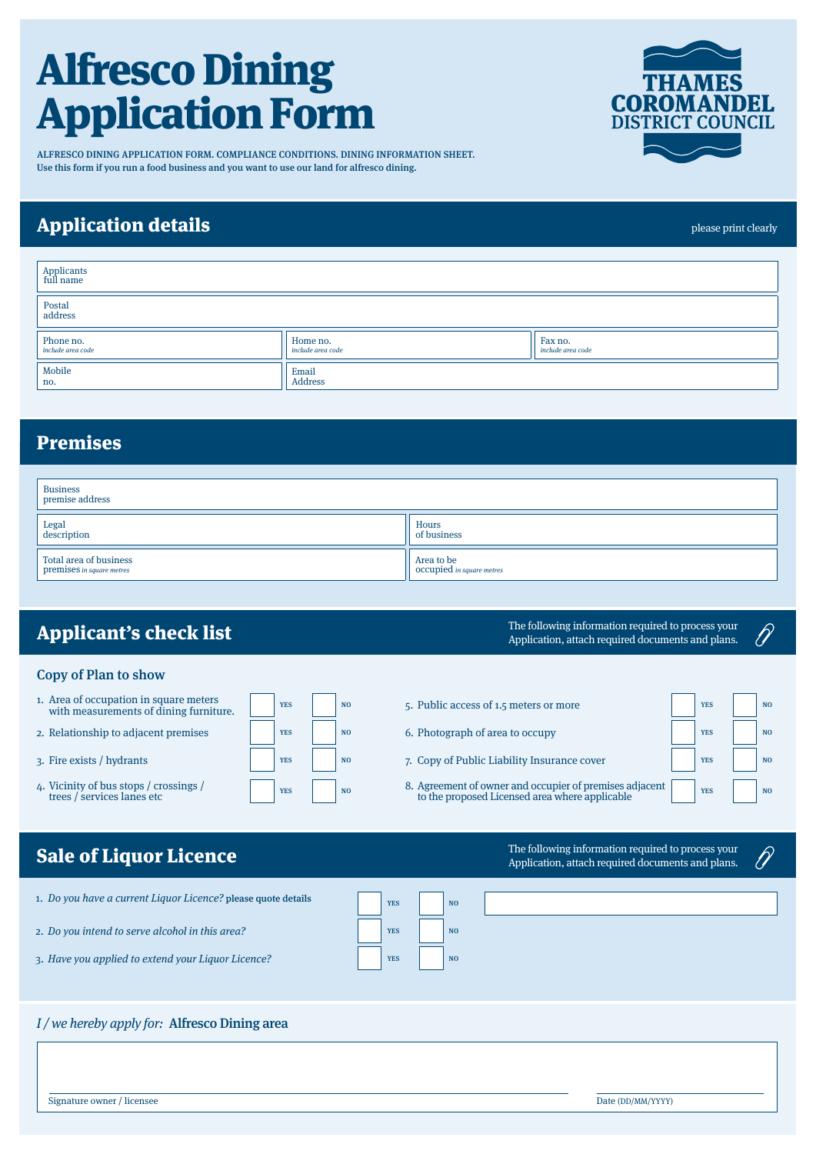# Alfresco Dining Application Form

ALFRESCO DINING APPLICATION FORM. COMPLIANCE CONDITIONS. DINING INFORMATION SHEET. Use this form if you run a food business and you want to use our land for alfresco dining.

## Application details

| Applicants<br>full name        |                                      |                              |  |
|--------------------------------|--------------------------------------|------------------------------|--|
| Postal<br>address              |                                      |                              |  |
| Phone no.<br>include area code | Home no.<br><i>include area code</i> | Fax no.<br>include area code |  |
| Mobile<br>no.                  | Email<br>Address                     |                              |  |

## Premises

| <b>Business</b><br>premise address                  |                                         |
|-----------------------------------------------------|-----------------------------------------|
| Legal<br>description                                | Hours<br>of business                    |
| Total area of business<br>premises in square metres | Area to be<br>Occupied in square metres |

# Applicant's check list

### Copy of Plan to show

- 1. Area of occupation in square meters Area of occupation in square meters<br>with measurements of dining furniture.
- 2. Relationship to adjacent premises  $\parallel$   $\parallel$  vES  $\parallel$  NO
- 3. Fire exists / hydrants YES NO
- 4. Vicinity of bus stops / crossings / The YES NO RESERVING THE VEST NO RESERVE TO A NOT RESERVE TO A NOT RESERVE TO A NOT RESERVE TO A NOT RESERVE TO A NOT RESERVE TO A NOT RESERVE TO A NOT RESERVE TO A NOT RESERVE TO A N

| <b>Sale of Liquor Licence</b> |  |
|-------------------------------|--|

| 1. Do you have a current Liquor Licence? please quote details | <b>YES</b> | N <sub>0</sub> |
|---------------------------------------------------------------|------------|----------------|

- 2. Do you intend to serve alcohol in this area?
- 3. Have you applied to extend your Liquor Licence?

## I / we hereby apply for: Alfresco Dining area

Signature owner / licensee Date (DD/MM/YYYY)

### The following information required to process your Application, attach required documents and plans.

- 5. Public access of 1.5 meters or more  $\vert$   $\vert$  vES  $\vert$  NO
- 6. Photograph of area to occupy YES NO
- 7. Copy of Public Liability Insurance cover YES NO
- 8. Agreement of owner and occupier of premises adjacent to the proposed Licensed area where applicable yes vertex  $\sim$  No

 $\mathscr{D}$ 

The following information requ Application, attach required do

| ired to process your<br>cuments and plans. |  |
|--------------------------------------------|--|
|                                            |  |





please print clearly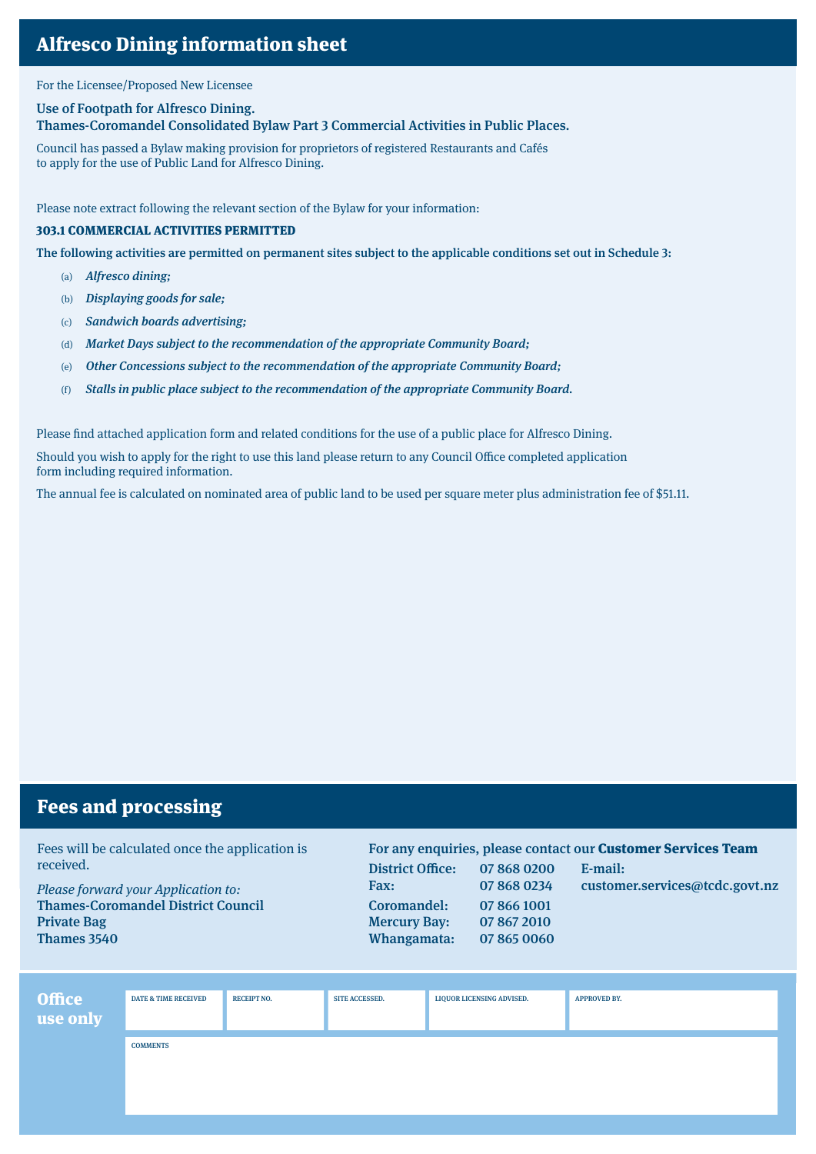For the Licensee/Proposed New Licensee

#### Use of Footpath for Alfresco Dining.

Thames-Coromandel Consolidated Bylaw Part 3 Commercial Activities in Public Places.

Council has passed a Bylaw making provision for proprietors of registered Restaurants and Cafés to apply for the use of Public Land for Alfresco Dining.

Please note extract following the relevant section of the Bylaw for your information:

#### 303.1 COMMERCIAL ACTIVITIES PERMITTED

The following activities are permitted on permanent sites subject to the applicable conditions set out in Schedule 3:

- (a) Alfresco dining;
- (b) Displaying goods for sale;
- (c) Sandwich boards advertising;
- (d) Market Days subject to the recommendation of the appropriate Community Board;
- (e) Other Concessions subject to the recommendation of the appropriate Community Board;
- (f) Stalls in public place subject to the recommendation of the appropriate Community Board.

Please find attached application form and related conditions for the use of a public place for Alfresco Dining.

Should you wish to apply for the right to use this land please return to any Council Office completed application form including required information.

The annual fee is calculated on nominated area of public land to be used per square meter plus administration fee of \$51.11.

## Fees and processing

Fees will be calculated once the application is received.

Please forward your Application to: Thames-Coromandel District Council Private Bag Thames 3540

For any enquiries, please contact our Customer Services Team District Office: 07 868 0200 E-mail: Fax: 07 868 0234 customer.services@tcdc.govt.nz Coromandel: 07 866 1001 Mercury Bay: 07 867 2010 Whangamata: 07 865 0060

| Office<br>use only | <b>DATE &amp; TIME RECEIVED</b> | <b>RECEIPT NO.</b> | <b>SITE ACCESSED.</b> | <b>LIQUOR LICENSING ADVISED.</b> | <b>APPROVED BY.</b> |
|--------------------|---------------------------------|--------------------|-----------------------|----------------------------------|---------------------|
|                    | <b>COMMENTS</b>                 |                    |                       |                                  |                     |
|                    |                                 |                    |                       |                                  |                     |
|                    |                                 |                    |                       |                                  |                     |